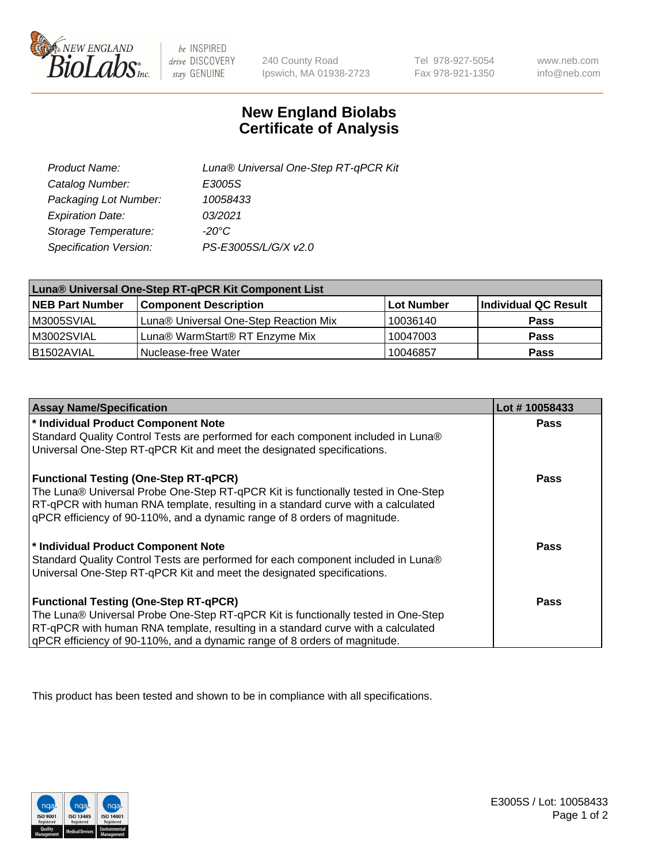

 $be$  INSPIRED drive DISCOVERY stay GENUINE

240 County Road Ipswich, MA 01938-2723

Tel 978-927-5054 Fax 978-921-1350

www.neb.com info@neb.com

## **New England Biolabs Certificate of Analysis**

| Product Name:           | Luna® Universal One-Step RT-qPCR Kit |  |
|-------------------------|--------------------------------------|--|
| Catalog Number:         | E3005S                               |  |
| Packaging Lot Number:   | 10058433                             |  |
| <b>Expiration Date:</b> | 03/2021                              |  |
| Storage Temperature:    | $-20^{\circ}$ C                      |  |
| Specification Version:  | PS-E3005S/L/G/X v2.0                 |  |

| Luna® Universal One-Step RT-qPCR Kit Component List |                                       |            |                      |  |
|-----------------------------------------------------|---------------------------------------|------------|----------------------|--|
| <b>NEB Part Number</b>                              | <b>Component Description</b>          | Lot Number | Individual QC Result |  |
| M3005SVIAL                                          | Luna® Universal One-Step Reaction Mix | 10036140   | <b>Pass</b>          |  |
| M3002SVIAL                                          | Luna® WarmStart® RT Enzyme Mix        | 10047003   | <b>Pass</b>          |  |
| B1502AVIAL                                          | Nuclease-free Water                   | 10046857   | <b>Pass</b>          |  |

| <b>Assay Name/Specification</b>                                                   | Lot #10058433 |
|-----------------------------------------------------------------------------------|---------------|
| * Individual Product Component Note                                               | <b>Pass</b>   |
| Standard Quality Control Tests are performed for each component included in Luna® |               |
| Universal One-Step RT-qPCR Kit and meet the designated specifications.            |               |
| <b>Functional Testing (One-Step RT-qPCR)</b>                                      | Pass          |
| The Luna® Universal Probe One-Step RT-qPCR Kit is functionally tested in One-Step |               |
| RT-qPCR with human RNA template, resulting in a standard curve with a calculated  |               |
| gPCR efficiency of 90-110%, and a dynamic range of 8 orders of magnitude.         |               |
| * Individual Product Component Note                                               | Pass          |
| Standard Quality Control Tests are performed for each component included in Luna® |               |
| Universal One-Step RT-qPCR Kit and meet the designated specifications.            |               |
| <b>Functional Testing (One-Step RT-qPCR)</b>                                      | <b>Pass</b>   |
| The Luna® Universal Probe One-Step RT-qPCR Kit is functionally tested in One-Step |               |
| RT-qPCR with human RNA template, resulting in a standard curve with a calculated  |               |
| gPCR efficiency of 90-110%, and a dynamic range of 8 orders of magnitude.         |               |

This product has been tested and shown to be in compliance with all specifications.